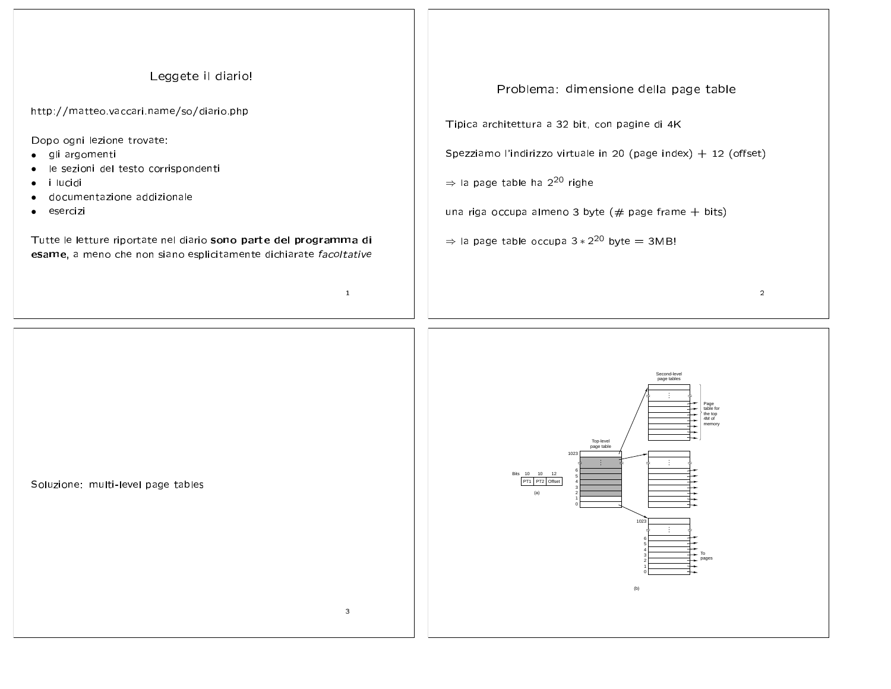## Leggete il diario! Problema: dimensione della page table http://matteo.vaccari.name/so/diario.php Tipica architettura a 32 bit, con pagine di 4K Dopo ogni lezione trovate: Spezziamo l'indirizzo virtuale in 20 (page index) + 12 (offset) le sezioni del testo corrispondenti  $\Rightarrow$  la page table ha 2<sup>20</sup> righe documentazione addizionale una riga occupa almeno 3 byte ( $#$  page frame  $+$  bits)  $\Rightarrow$  la page table occupa 3  $*$  2<sup>20</sup> byte = 3MB! Tutte le letture riportate nel diario sono parte del programma di esame, a meno che non siano esplicitamente dichiarate facoltative  $\mathbf{1}$



 $\overline{2}$ 

Soluzione: multi-level page tables

 $\bullet$ 

gli argomenti

i lucidi

esercizi

 $\mathbf{3}$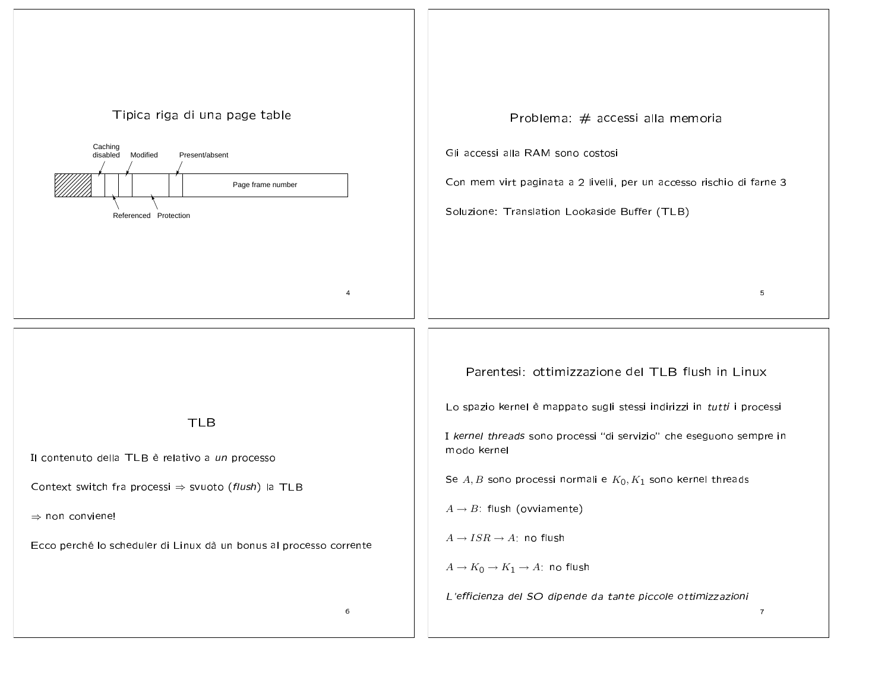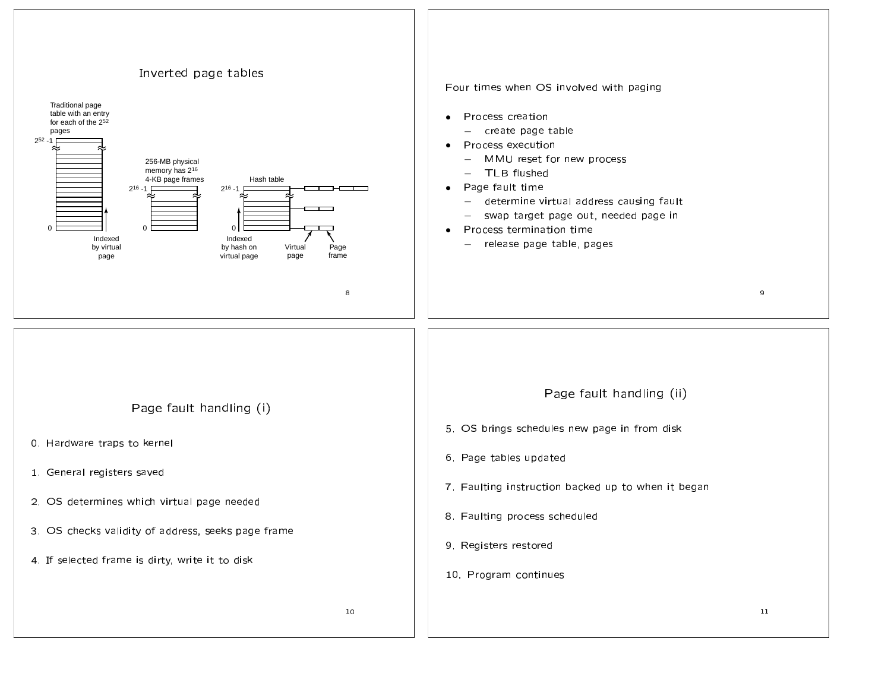